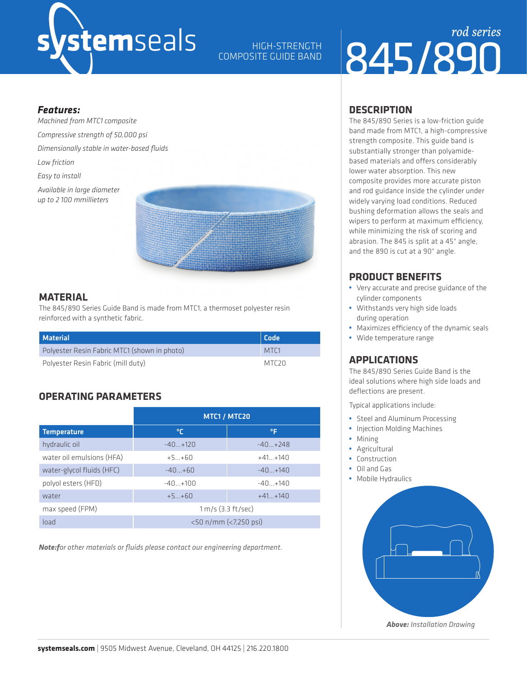## stemseals

HIGH-STRENGTH COMPOSITE GUIDE BAND

## 845/890 *rod series*

#### *Features:*

*Machined from MTC1 composite Compressive strength of 50,000 psi Dimensionally stable in water-based fluids Low friction Easy to install Available in large diameter up to 2 100 mmillieters*



#### **MATERIAL**

The 845/890 Series Guide Band is made from MTC1, a thermoset polyester resin reinforced with a synthetic fabric.

| <b>Material</b>                              | Code              |  |
|----------------------------------------------|-------------------|--|
| Polyester Resin Fabric MTC1 (shown in photo) | MTC <sub>1</sub>  |  |
| Polyester Resin Fabric (mill duty)           | MTC <sub>20</sub> |  |

#### **OPERATING PARAMETERS**

|                           | MTC1 / MTC20          |             |  |  |
|---------------------------|-----------------------|-------------|--|--|
| <b>Temperature</b>        | ℃                     | ٥F          |  |  |
| hydraulic oil             | $-40+120$             | $-40 + 748$ |  |  |
| water oil emulsions (HFA) | $+5+60$               | $+41+140$   |  |  |
| water-glycol fluids (HFC) | $-40+60$              | $-40+140$   |  |  |
| polyol esters (HFD)       | $-40+100$             | $-40+140$   |  |  |
| water                     | $+5+60$               | $+41+140$   |  |  |
| max speed (FPM)           | $1 m/s$ (3.3 ft/sec)  |             |  |  |
| load                      | <50 n/mm (<7,250 psi) |             |  |  |

*Note:for other materials or fluids please contact our engineering department.*

#### **DESCRIPTION**

The 845/890 Series is a low-friction guide band made from MTC1, a high-compressive strength composite. This guide band is substantially stronger than polyamidebased materials and offers considerably lower water absorption. This new composite provides more accurate piston and rod guidance inside the cylinder under widely varying load conditions. Reduced bushing deformation allows the seals and wipers to perform at maximum efficiency, while minimizing the risk of scoring and abrasion. The 845 is split at a 45° angle, and the 890 is cut at a 90° angle.

#### **PRODUCT BENEFITS**

- **•** Very accurate and precise guidance of the cylinder components
- **•** Withstands very high side loads during operation
- **•** Maximizes efficiency of the dynamic seals
- **•** Wide temperature range

#### **APPLICATIONS**

The 845/890 Series Guide Band is the ideal solutions where high side loads and deflections are present.

Typical applications include:

- **•** Steel and Aluminum Processing
- **•** Injection Molding Machines
- **•** Mining
- **•** Agricultural
- **•** Construction
- **•** Oil and Gas
- **•** Mobile Hydraulics



*Above: Installation Drawing*